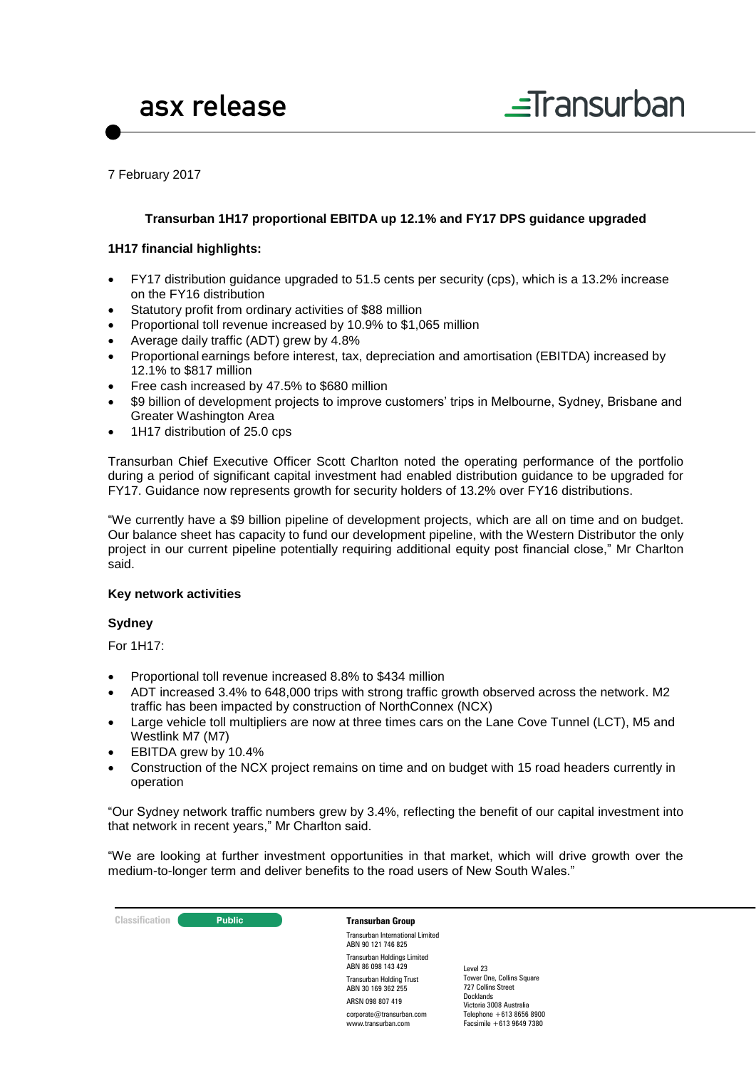

7 February 2017

#### **Transurban 1H17 proportional EBITDA up 12.1% and FY17 DPS guidance upgraded**

#### **1H17 financial highlights:**

- FY17 distribution guidance upgraded to 51.5 cents per security (cps), which is a 13.2% increase on the FY16 distribution
- Statutory profit from ordinary activities of \$88 million
- Proportional toll revenue increased by 10.9% to \$1,065 million
- Average daily traffic (ADT) grew by 4.8%
- Proportional earnings before interest, tax, depreciation and amortisation (EBITDA) increased by 12.1% to \$817 million
- Free cash increased by 47.5% to \$680 million
- \$9 billion of development projects to improve customers' trips in Melbourne, Sydney, Brisbane and Greater Washington Area
- 1H17 distribution of 25.0 cps

Transurban Chief Executive Officer Scott Charlton noted the operating performance of the portfolio during a period of significant capital investment had enabled distribution guidance to be upgraded for FY17. Guidance now represents growth for security holders of 13.2% over FY16 distributions.

"We currently have a \$9 billion pipeline of development projects, which are all on time and on budget. Our balance sheet has capacity to fund our development pipeline, with the Western Distributor the only project in our current pipeline potentially requiring additional equity post financial close," Mr Charlton said.

#### **Key network activities**

#### **Sydney**

For 1H17:

- Proportional toll revenue increased 8.8% to \$434 million
- ADT increased 3.4% to 648,000 trips with strong traffic growth observed across the network. M2 traffic has been impacted by construction of NorthConnex (NCX)
- Large vehicle toll multipliers are now at three times cars on the Lane Cove Tunnel (LCT), M5 and Westlink M7 (M7)
- EBITDA grew by 10.4%
- Construction of the NCX project remains on time and on budget with 15 road headers currently in operation

"Our Sydney network traffic numbers grew by 3.4%, reflecting the benefit of our capital investment into that network in recent years," Mr Charlton said.

"We are looking at further investment opportunities in that market, which will drive growth over the medium-to-longer term and deliver benefits to the road users of New South Wales."

| <b>Classification</b> | <b>Public</b> | <b>Transurban Group</b>                                  |                                                      |
|-----------------------|---------------|----------------------------------------------------------|------------------------------------------------------|
|                       |               | Transurban International Limited<br>ABN 90 121 746 825   |                                                      |
|                       |               | <b>Transurban Holdings Limited</b><br>ABN 86 098 143 429 | Level 23                                             |
|                       |               | <b>Transurban Holding Trust</b><br>ABN 30 169 362 255    | Tower One, Collins Square<br>727 Collins Street      |
|                       |               | ARSN 098 807 419                                         | Docklands<br>Victoria 3008 Australia                 |
|                       |               | corporate@transurban.com<br>www.transurban.com           | Telephone $+61386568900$<br>Facsimile $+61396497380$ |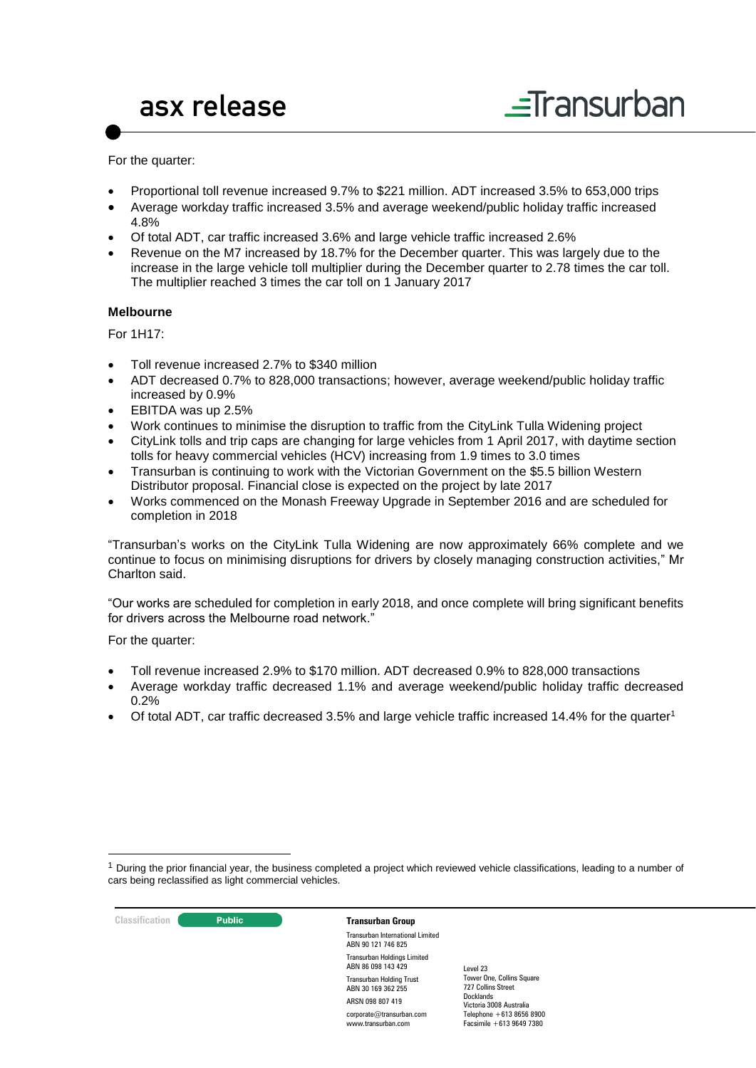For the quarter:

- Proportional toll revenue increased 9.7% to \$221 million. ADT increased 3.5% to 653,000 trips
- Average workday traffic increased 3.5% and average weekend/public holiday traffic increased 4.8%
- Of total ADT, car traffic increased 3.6% and large vehicle traffic increased 2.6%
- Revenue on the M7 increased by 18.7% for the December quarter. This was largely due to the increase in the large vehicle toll multiplier during the December quarter to 2.78 times the car toll. The multiplier reached 3 times the car toll on 1 January 2017

#### **Melbourne**

For 1H17:

- Toll revenue increased 2.7% to \$340 million
- ADT decreased 0.7% to 828,000 transactions; however, average weekend/public holiday traffic increased by 0.9%
- EBITDA was up 2.5%
- Work continues to minimise the disruption to traffic from the CityLink Tulla Widening project
- CityLink tolls and trip caps are changing for large vehicles from 1 April 2017, with daytime section tolls for heavy commercial vehicles (HCV) increasing from 1.9 times to 3.0 times
- Transurban is continuing to work with the Victorian Government on the \$5.5 billion Western Distributor proposal. Financial close is expected on the project by late 2017
- Works commenced on the Monash Freeway Upgrade in September 2016 and are scheduled for completion in 2018

"Transurban's works on the CityLink Tulla Widening are now approximately 66% complete and we continue to focus on minimising disruptions for drivers by closely managing construction activities," Mr Charlton said.

"Our works are scheduled for completion in early 2018, and once complete will bring significant benefits for drivers across the Melbourne road network."

For the quarter:

- Toll revenue increased 2.9% to \$170 million. ADT decreased 0.9% to 828,000 transactions
- Average workday traffic decreased 1.1% and average weekend/public holiday traffic decreased 0.2%
- Of total ADT, car traffic decreased 3.5% and large vehicle traffic increased 14.4% for the quarter<sup>1</sup>

 $1$  During the prior financial year, the business completed a project which reviewed vehicle classifications, leading to a number of cars being reclassified as light commercial vehicles.



1

Transurban International Limited ABN 90 121 746 825 Transurban Holdings Limited ABN 86 098 143 429 Transurban Holding Trust ABN 30 169 362 255 ARSN 098 807 419 corporate@transurban.com www.transurban.com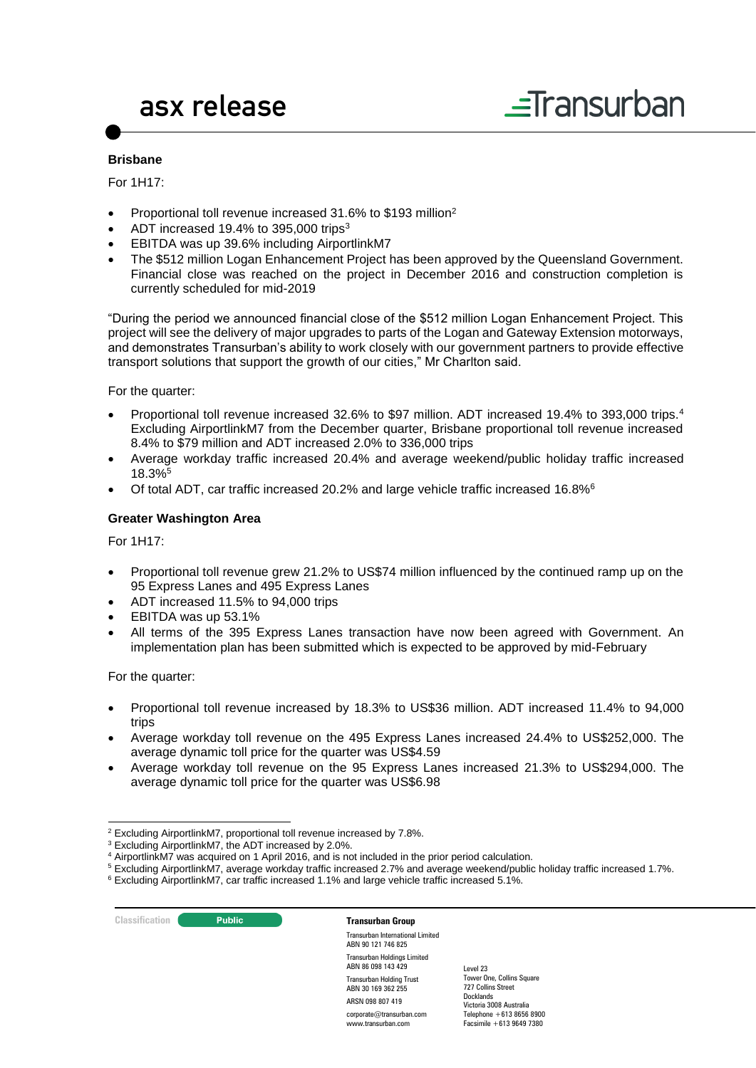# $\equiv$ Transurban

#### **Brisbane**

For 1H17:

- Proportional toll revenue increased 31.6% to \$193 million<sup>2</sup>
- ADT increased 19.4% to 395,000 trips<sup>3</sup>
- EBITDA was up 39.6% including AirportlinkM7
- The \$512 million Logan Enhancement Project has been approved by the Queensland Government. Financial close was reached on the project in December 2016 and construction completion is currently scheduled for mid-2019

"During the period we announced financial close of the \$512 million Logan Enhancement Project. This project will see the delivery of major upgrades to parts of the Logan and Gateway Extension motorways, and demonstrates Transurban's ability to work closely with our government partners to provide effective transport solutions that support the growth of our cities," Mr Charlton said.

For the quarter:

- Proportional toll revenue increased 32.6% to \$97 million. ADT increased 19.4% to 393,000 trips.<sup>4</sup> Excluding AirportlinkM7 from the December quarter, Brisbane proportional toll revenue increased 8.4% to \$79 million and ADT increased 2.0% to 336,000 trips
- Average workday traffic increased 20.4% and average weekend/public holiday traffic increased 18.3%<sup>5</sup>
- Of total ADT, car traffic increased 20.2% and large vehicle traffic increased 16.8%<sup>6</sup>

#### **Greater Washington Area**

For 1H17:

- Proportional toll revenue grew 21.2% to US\$74 million influenced by the continued ramp up on the 95 Express Lanes and 495 Express Lanes
- ADT increased 11.5% to 94,000 trips
- EBITDA was up 53.1%
- All terms of the 395 Express Lanes transaction have now been agreed with Government. An implementation plan has been submitted which is expected to be approved by mid-February

For the quarter:

- Proportional toll revenue increased by 18.3% to US\$36 million. ADT increased 11.4% to 94,000 trips
- Average workday toll revenue on the 495 Express Lanes increased 24.4% to US\$252,000. The average dynamic toll price for the quarter was US\$4.59
- Average workday toll revenue on the 95 Express Lanes increased 21.3% to US\$294,000. The average dynamic toll price for the quarter was US\$6.98

#### **Classification Transurban Group**

Transurban International Limited ABN 90 121 746 825 Transurban Holdings Limited ABN 86 098 143 429 Transurban Holding Trust ABN 30 169 362 255 ARSN 098 807 419 corporate@transurban.com

www.transurban.com

<sup>-</sup><sup>2</sup> Excluding AirportlinkM7, proportional toll revenue increased by 7.8%.

<sup>3</sup> Excluding AirportlinkM7, the ADT increased by 2.0%.

<sup>4</sup> AirportlinkM7 was acquired on 1 April 2016, and is not included in the prior period calculation.

<sup>5</sup> Excluding AirportlinkM7, average workday traffic increased 2.7% and average weekend/public holiday traffic increased 1.7%.

<sup>6</sup> Excluding AirportlinkM7, car traffic increased 1.1% and large vehicle traffic increased 5.1%.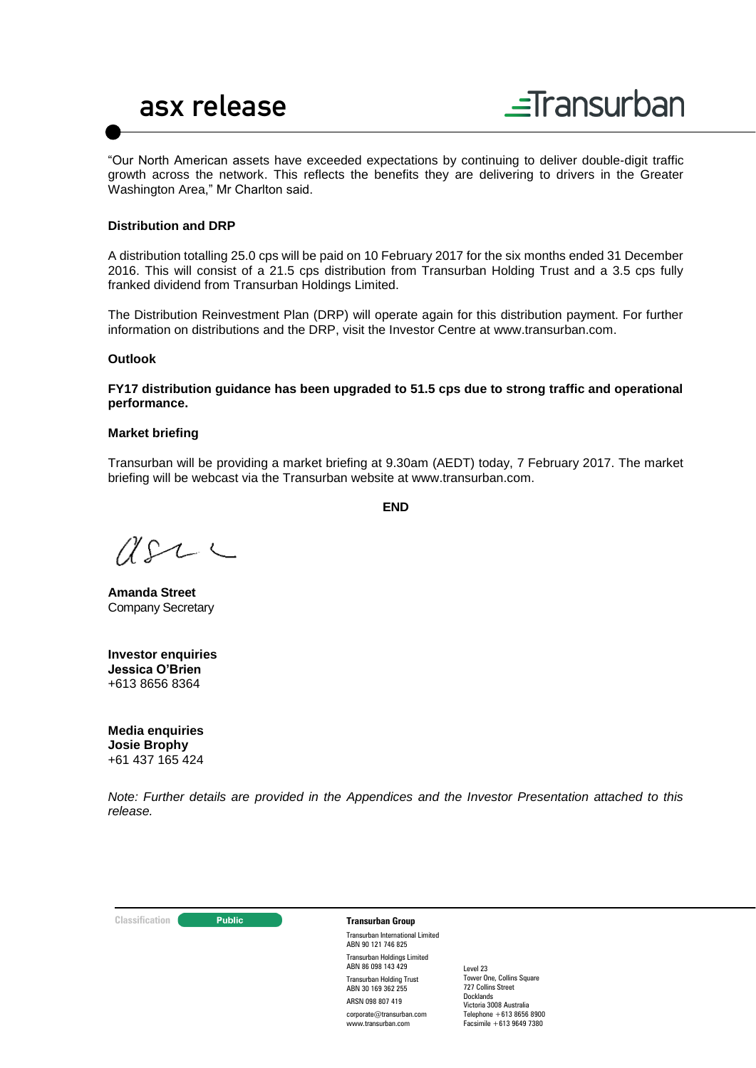



"Our North American assets have exceeded expectations by continuing to deliver double-digit traffic growth across the network. This reflects the benefits they are delivering to drivers in the Greater Washington Area," Mr Charlton said.

#### **Distribution and DRP**

A distribution totalling 25.0 cps will be paid on 10 February 2017 for the six months ended 31 December 2016. This will consist of a 21.5 cps distribution from Transurban Holding Trust and a 3.5 cps fully franked dividend from Transurban Holdings Limited.

The Distribution Reinvestment Plan (DRP) will operate again for this distribution payment. For further information on distributions and the DRP, visit the Investor Centre at [www.transurban.com.](http://www.transurban.com/)

#### **Outlook**

**FY17 distribution guidance has been upgraded to 51.5 cps due to strong traffic and operational performance.**

#### **Market briefing**

Transurban will be providing a market briefing at 9.30am (AEDT) today, 7 February 2017. The market briefing will be webcast via the Transurban website at www.transurban.com.

**END**

 $U222$ 

**Amanda Street** Company Secretary

**Investor enquiries Jessica O'Brien**  +613 8656 8364

**Media enquiries Josie Brophy** +61 437 165 424

*Note: Further details are provided in the Appendices and the Investor Presentation attached to this release.*

#### **Classification Transurban Group**

Transurban International Limited ABN 90 121 746 825 Transurban Holdings Limited ABN 86 098 143 429 Transurban Holding Trust ABN 30 169 362 255 ARSN 098 807 419 corporate@transurban.com www.transurban.com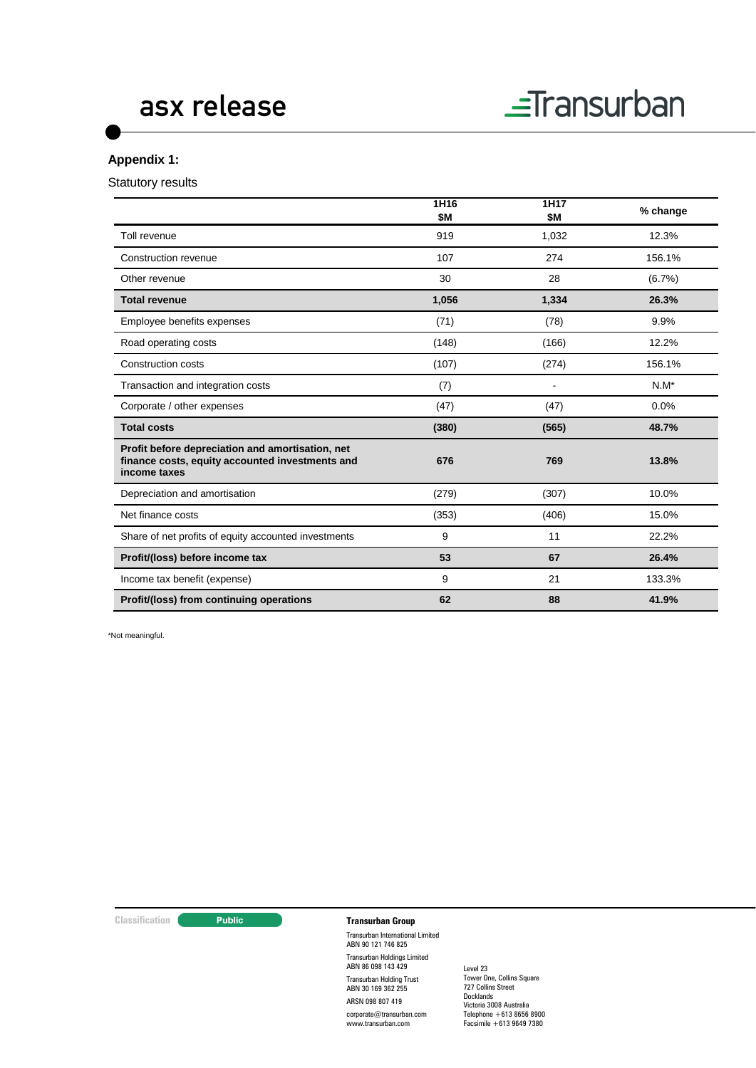

#### **Appendix 1:**

Statutory results

|                                                                                                                     | 1H16<br><b>\$M</b> | 1H17<br>\$Μ | % change  |
|---------------------------------------------------------------------------------------------------------------------|--------------------|-------------|-----------|
| Toll revenue                                                                                                        | 919                | 1,032       | 12.3%     |
| Construction revenue                                                                                                | 107                | 274         | 156.1%    |
| Other revenue                                                                                                       | 30                 | 28          | $(6.7\%)$ |
| <b>Total revenue</b>                                                                                                | 1,056              | 1,334       | 26.3%     |
| Employee benefits expenses                                                                                          | (71)               | (78)        | 9.9%      |
| Road operating costs                                                                                                | (148)              | (166)       | 12.2%     |
| <b>Construction costs</b>                                                                                           | (107)              | (274)       | 156.1%    |
| Transaction and integration costs                                                                                   | (7)                | ÷           | $N.M^*$   |
| Corporate / other expenses                                                                                          | (47)               | (47)        | 0.0%      |
| <b>Total costs</b>                                                                                                  | (380)              | (565)       | 48.7%     |
| Profit before depreciation and amortisation, net<br>finance costs, equity accounted investments and<br>income taxes | 676                | 769         | 13.8%     |
| Depreciation and amortisation                                                                                       | (279)              | (307)       | 10.0%     |
| Net finance costs                                                                                                   | (353)              | (406)       | 15.0%     |
| Share of net profits of equity accounted investments                                                                | 9                  | 11          | 22.2%     |
| Profit/(loss) before income tax                                                                                     | 53                 | 67          | 26.4%     |
| Income tax benefit (expense)                                                                                        | 9                  | 21          | 133.3%    |
| Profit/(loss) from continuing operations                                                                            | 62                 | 88          | 41.9%     |

\*Not meaningful.

#### **Classification Transurban Group**

Transurban International Limited ABN 90 121 746 825 Transurban Holdings Limited ABN 86 098 143 429 Transurban Holding Trust ABN 30 169 362 255 ARSN 098 807 419

corporate@transurban.com www.transurban.com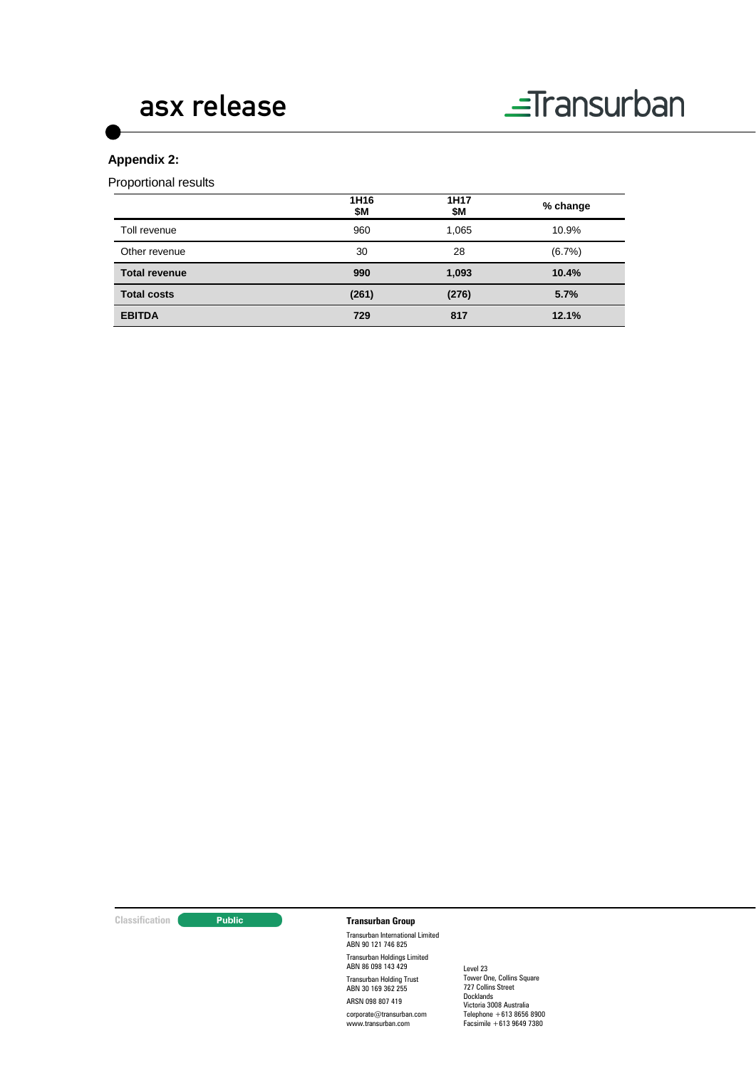

#### **Appendix 2:**

Proportional results

|                      | 1H16<br>\$Μ | 1H17<br>\$Μ | % change  |
|----------------------|-------------|-------------|-----------|
| Toll revenue         | 960         | 1,065       | 10.9%     |
| Other revenue        | 30          | 28          | $(6.7\%)$ |
| <b>Total revenue</b> | 990         | 1,093       | 10.4%     |
| <b>Total costs</b>   | (261)       | (276)       | 5.7%      |
| <b>EBITDA</b>        | 729         | 817         | 12.1%     |

#### **Classification Transurban Group**

Transurban International Limited ABN 90 121 746 825 Transurban Holdings Limited ABN 86 098 143 429 Transurban Holding Trust ABN 30 169 362 255 ARSN 098 807 419

corporate@transurban.com www.transurban.com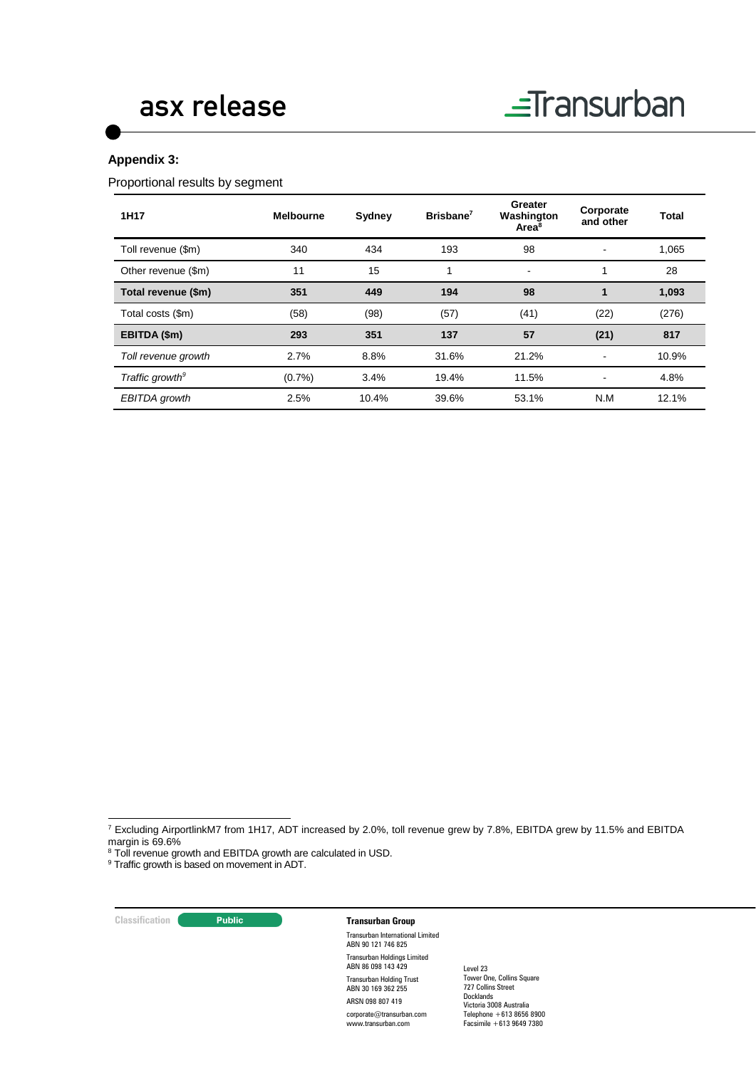

#### **Appendix 3:**

Proportional results by segment

| 1H17                        | <b>Melbourne</b> | Sydney | Brisbane <sup>7</sup> | Greater<br>Washington<br>Area <sup>8</sup> | Corporate<br>and other | Total |
|-----------------------------|------------------|--------|-----------------------|--------------------------------------------|------------------------|-------|
| Toll revenue (\$m)          | 340              | 434    | 193                   | 98                                         |                        | 1,065 |
| Other revenue (\$m)         | 11               | 15     |                       | $\blacksquare$                             |                        | 28    |
| Total revenue (\$m)         | 351              | 449    | 194                   | 98                                         | 1                      | 1,093 |
| Total costs (\$m)           | (58)             | (98)   | (57)                  | (41)                                       | (22)                   | (276) |
| EBITDA (\$m)                | 293              | 351    | 137                   | 57                                         | (21)                   | 817   |
| Toll revenue growth         | 2.7%             | 8.8%   | 31.6%                 | 21.2%                                      | ٠                      | 10.9% |
| Traffic growth <sup>9</sup> | (0.7%            | 3.4%   | 19.4%                 | 11.5%                                      |                        | 4.8%  |
| EBITDA growth               | 2.5%             | 10.4%  | 39.6%                 | 53.1%                                      | N.M                    | 12.1% |

**Classification Transurban Group** 

-

Transurban International Limited ABN 90 121 746 825 Transurban Holdings Limited ABN 86 098 143 429

Transurban Holding Trust ABN 30 169 362 255 ARSN 098 807 419

corporate@transurban.com www.transurban.com

<sup>7</sup> Excluding AirportlinkM7 from 1H17, ADT increased by 2.0%, toll revenue grew by 7.8%, EBITDA grew by 11.5% and EBITDA margin is 69.6%

<sup>&</sup>lt;sup>8</sup> Toll revenue growth and EBITDA growth are calculated in USD.

<sup>&</sup>lt;sup>9</sup> Traffic growth is based on movement in ADT.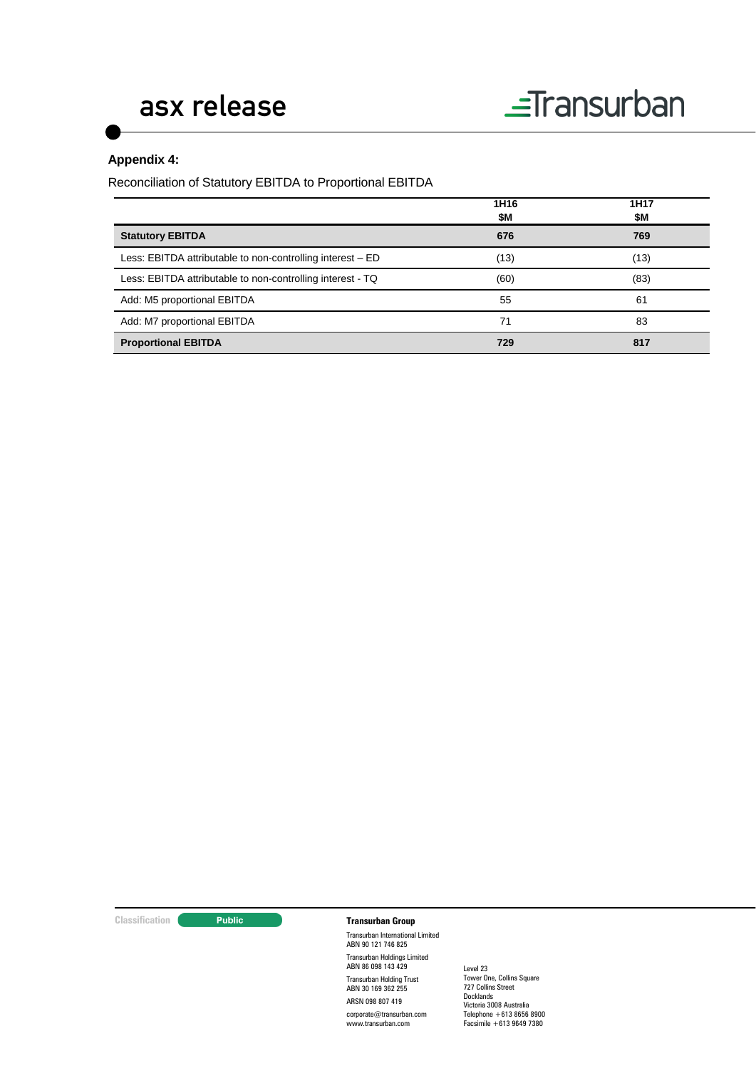#### **Appendix 4:**

Reconciliation of Statutory EBITDA to Proportional EBITDA

|                                                            | 1H16<br>\$М | 1H <sub>17</sub><br>\$Μ |
|------------------------------------------------------------|-------------|-------------------------|
| <b>Statutory EBITDA</b>                                    | 676         | 769                     |
| Less: EBITDA attributable to non-controlling interest – ED | (13)        | (13)                    |
| Less: EBITDA attributable to non-controlling interest - TQ | (60)        | (83)                    |
| Add: M5 proportional EBITDA                                | 55          | 61                      |
| Add: M7 proportional EBITDA                                | 71          | 83                      |
| <b>Proportional EBITDA</b>                                 | 729         | 817                     |

#### **Classification Transurban Group**

Transurban International Limited ABN 90 121 746 825 Transurban Holdings Limited ABN 86 098 143 429 Transurban Holding Trust ABN 30 169 362 255 ARSN 098 807 419

corporate@transurban.com www.transurban.com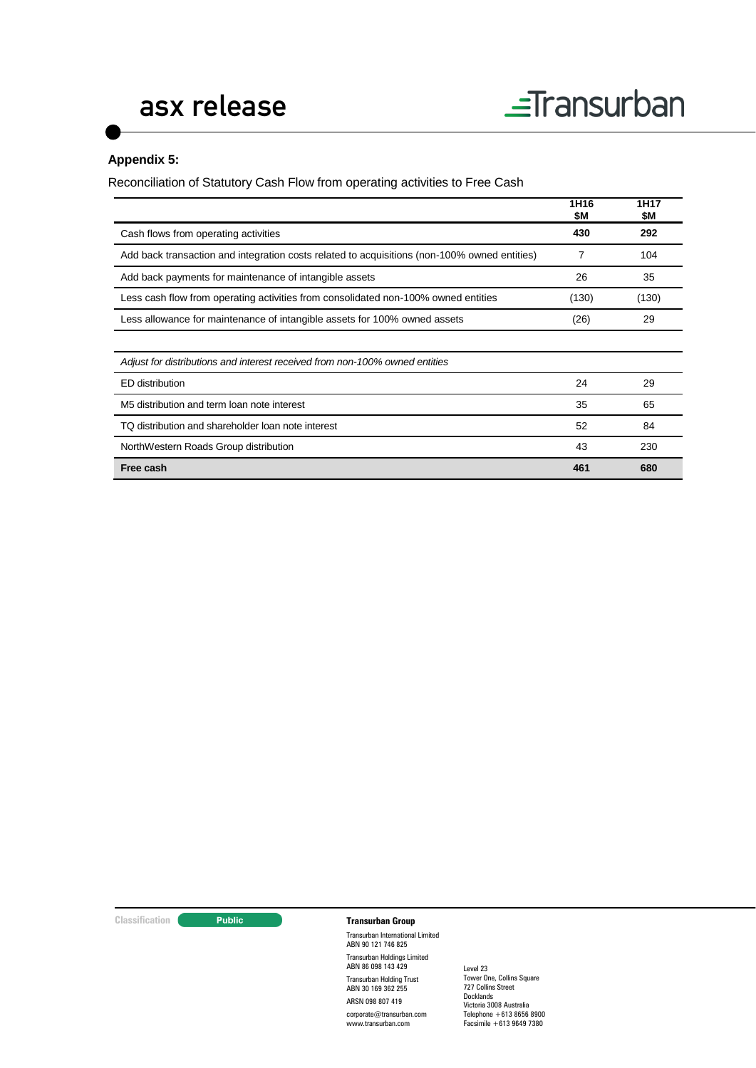#### **Appendix 5:**

Reconciliation of Statutory Cash Flow from operating activities to Free Cash

|                                                                                              | 1H <sub>16</sub><br>\$M | 1H17<br>\$M |
|----------------------------------------------------------------------------------------------|-------------------------|-------------|
| Cash flows from operating activities                                                         | 430                     | 292         |
| Add back transaction and integration costs related to acquisitions (non-100% owned entities) | 7                       | 104         |
| Add back payments for maintenance of intangible assets                                       | 26                      | 35          |
| Less cash flow from operating activities from consolidated non-100% owned entities           | (130)                   | (130)       |
| Less allowance for maintenance of intangible assets for 100% owned assets                    | (26)                    | 29          |
|                                                                                              |                         |             |
| Adjust for distributions and interest received from non-100% owned entities                  |                         |             |
| ED distribution                                                                              | 24                      | 29          |
| M5 distribution and term loan note interest                                                  | 35                      | 65          |
| TQ distribution and shareholder loan note interest                                           | 52                      | 84          |
| NorthWestern Roads Group distribution                                                        | 43                      | 230         |
| Free cash                                                                                    | 461                     | 680         |

**Classification Transurban Group** 

Transurban International Limited ABN 90 121 746 825 Transurban Holdings Limited ABN 86 098 143 429 Transurban Holding Trust ABN 30 169 362 255 ARSN 098 807 419

corporate@transurban.com www.transurban.com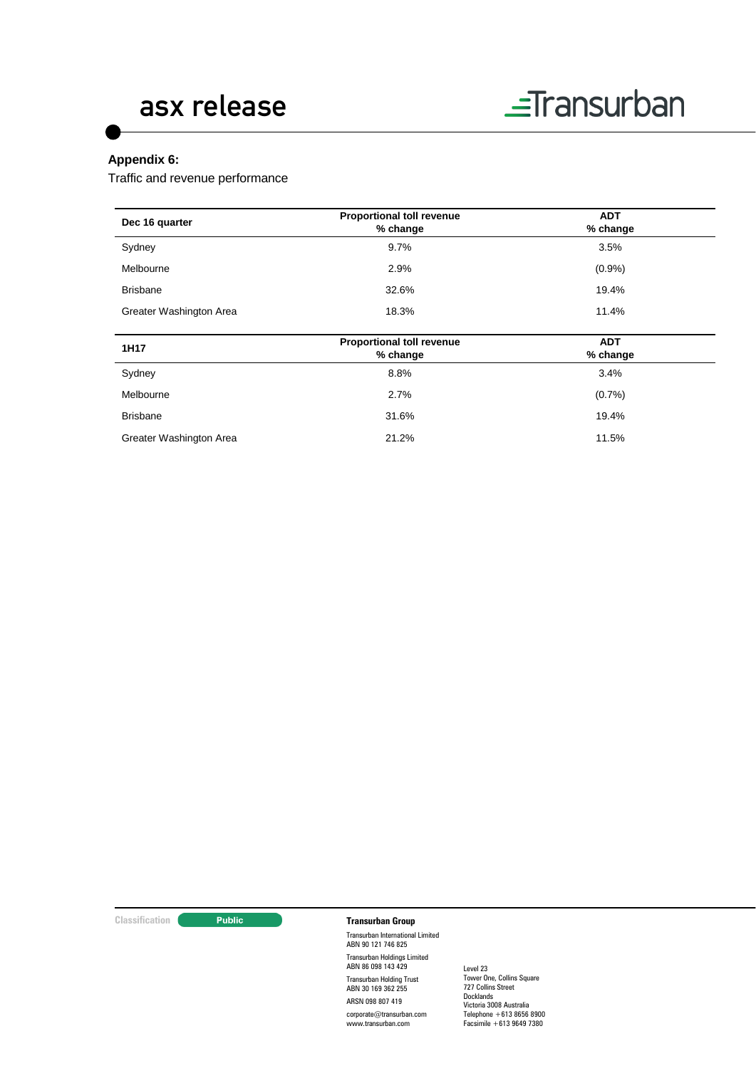

#### **Appendix 6:**

Traffic and revenue performance

| Dec 16 quarter          | Proportional toll revenue<br>% change        | <b>ADT</b><br>% change |  |
|-------------------------|----------------------------------------------|------------------------|--|
| Sydney                  | 9.7%                                         | 3.5%                   |  |
| Melbourne               | 2.9%                                         | (0.9%                  |  |
| <b>Brisbane</b>         | 32.6%                                        | 19.4%                  |  |
| Greater Washington Area | 18.3%                                        | 11.4%                  |  |
|                         |                                              |                        |  |
| 1H17                    | <b>Proportional toll revenue</b><br>% change | <b>ADT</b><br>% change |  |
| Sydney                  | 8.8%                                         | 3.4%                   |  |
| Melbourne               | 2.7%                                         | (0.7%                  |  |
| <b>Brisbane</b>         | 31.6%                                        | 19.4%                  |  |
| Greater Washington Area | 21.2%                                        | 11.5%                  |  |

#### **Classification Transurban Group**

Transurban International Limited ABN 90 121 746 825 Transurban Holdings Limited ABN 86 098 143 429 Transurban Holding Trust ABN 30 169 362 255 ARSN 098 807 419

corporate@transurban.com www.transurban.com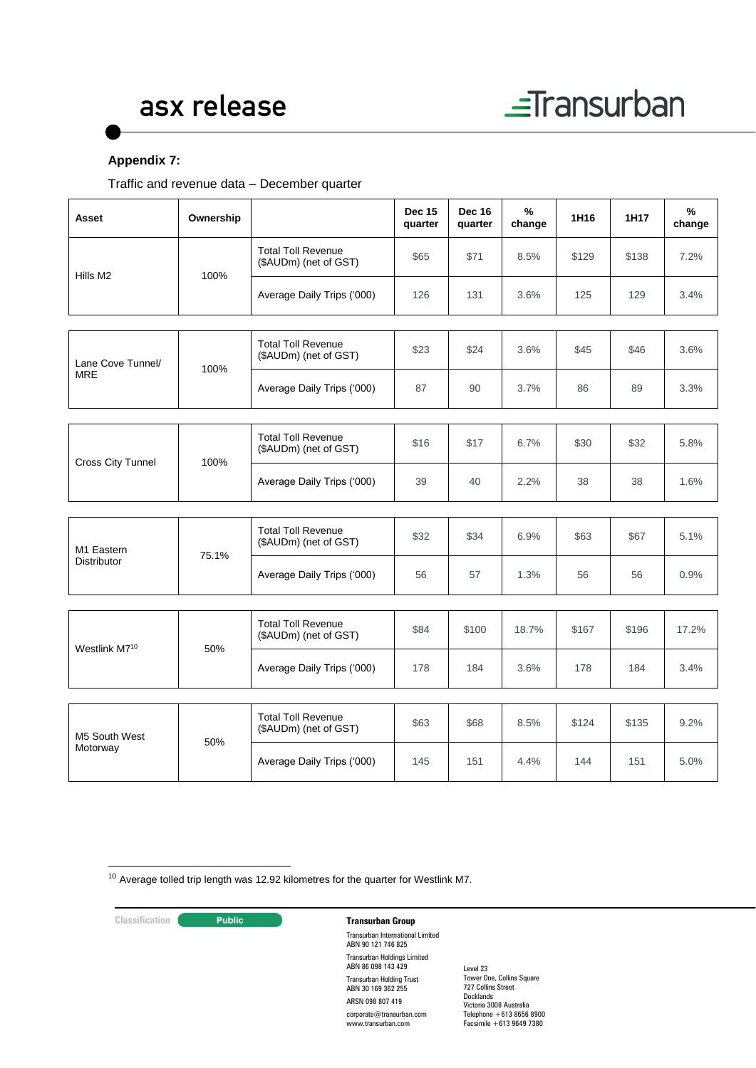

#### **Appendix 7:**

Traffic and revenue data – December quarter

| Asset                     | Ownership |                                                    | <b>Dec 15</b><br>quarter | <b>Dec 16</b><br>quarter | ℅<br>change | 1H <sub>16</sub> | 1H17  | $\frac{9}{6}$<br>change |
|---------------------------|-----------|----------------------------------------------------|--------------------------|--------------------------|-------------|------------------|-------|-------------------------|
|                           | 100%      | <b>Total Toll Revenue</b><br>(\$AUDm) (net of GST) | \$65                     | \$71                     | 8.5%        | \$129            | \$138 | 7.2%                    |
| Hills M2                  |           | Average Daily Trips ('000)                         | 126                      | 131                      | 3.6%        | 125              | 129   | 3.4%                    |
|                           |           |                                                    |                          |                          |             |                  |       |                         |
| Lane Cove Tunnel/         | 100%      | <b>Total Toll Revenue</b><br>(\$AUDm) (net of GST) | \$23                     | \$24                     | 3.6%        | \$45             | \$46  | 3.6%                    |
| <b>MRE</b>                |           | Average Daily Trips ('000)                         | 87                       | 90                       | 3.7%        | 86               | 89    | 3.3%                    |
|                           |           |                                                    |                          |                          |             |                  |       |                         |
| Cross City Tunnel         | 100%      | <b>Total Toll Revenue</b><br>(\$AUDm) (net of GST) | \$16                     | \$17                     | 6.7%        | \$30             | \$32  | 5.8%                    |
|                           |           | Average Daily Trips ('000)                         | 39                       | 40                       | 2.2%        | 38               | 38    | 1.6%                    |
|                           |           |                                                    |                          |                          |             |                  |       |                         |
| M1 Eastern                | 75.1%     | <b>Total Toll Revenue</b><br>(\$AUDm) (net of GST) | \$32                     | \$34                     | 6.9%        | \$63             | \$67  | 5.1%                    |
| <b>Distributor</b>        |           | Average Daily Trips ('000)                         | 56                       | 57                       | 1.3%        | 56               | 56    | 0.9%                    |
|                           |           |                                                    |                          |                          |             |                  |       |                         |
|                           | 50%       | <b>Total Toll Revenue</b><br>(\$AUDm) (net of GST) | \$84                     | \$100                    | 18.7%       | \$167            | \$196 | 17.2%                   |
| Westlink M7 <sup>10</sup> |           | Average Daily Trips ('000)                         | 178                      | 184                      | 3.6%        | 178              | 184   | 3.4%                    |
|                           |           |                                                    |                          |                          |             |                  |       |                         |
| M5 South West             | 50%       | <b>Total Toll Revenue</b><br>(\$AUDm) (net of GST) | \$63                     | \$68                     | 8.5%        | \$124            | \$135 | 9.2%                    |
| Motorway                  |           | Average Daily Trips ('000)                         | 145                      | 151                      | 4.4%        | 144              | 151   | 5.0%                    |

 $10$  Average tolled trip length was 12.92 kilometres for the quarter for Westlink M7.

-

### **Classification Transurban Group**

Transurban International Limited ABN 90 121 746 825 Transurban Holdings Limited ABN 86 098 143 429 Transurban Holding Trust ABN 30 169 362 255 ARSN 098 807 419 corporate@transurban.com

www.transurban.com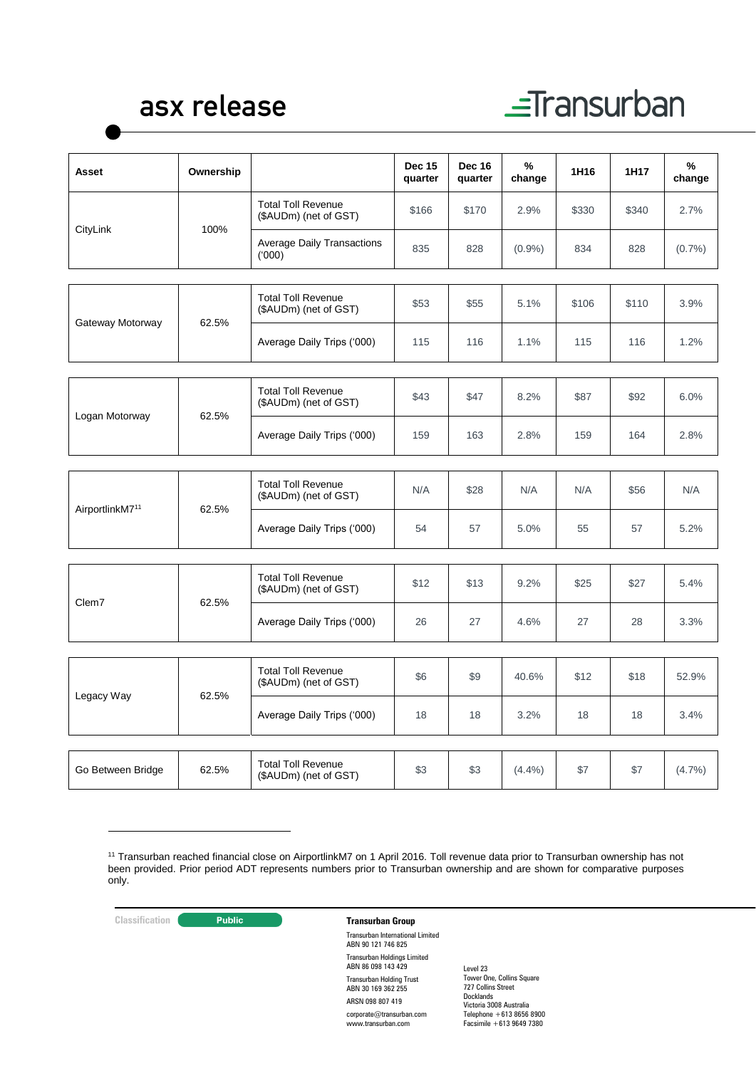# $\equiv$ Transurban

| Asset                       | Ownership |                                                    | <b>Dec 15</b><br>quarter | <b>Dec 16</b><br>quarter | %<br>change | 1H16  | 1H17  | %<br>change |
|-----------------------------|-----------|----------------------------------------------------|--------------------------|--------------------------|-------------|-------|-------|-------------|
|                             |           | <b>Total Toll Revenue</b><br>(\$AUDm) (net of GST) | \$166                    | \$170                    | 2.9%        | \$330 | \$340 | 2.7%        |
| CityLink                    | 100%      | <b>Average Daily Transactions</b><br>(000)         | 835                      | 828                      | $(0.9\%)$   | 834   | 828   | (0.7%)      |
|                             |           |                                                    |                          |                          |             |       |       |             |
| Gateway Motorway            | 62.5%     | <b>Total Toll Revenue</b><br>(\$AUDm) (net of GST) | \$53                     | \$55                     | 5.1%        | \$106 | \$110 | 3.9%        |
|                             |           | Average Daily Trips ('000)                         | 115                      | 116                      | 1.1%        | 115   | 116   | 1.2%        |
|                             |           |                                                    |                          |                          |             |       |       |             |
|                             | 62.5%     | <b>Total Toll Revenue</b><br>(\$AUDm) (net of GST) | \$43                     | \$47                     | 8.2%        | \$87  | \$92  | 6.0%        |
| Logan Motorway              |           | Average Daily Trips ('000)                         | 159                      | 163                      | 2.8%        | 159   | 164   | 2.8%        |
|                             |           |                                                    |                          |                          |             |       |       |             |
|                             | 62.5%     | <b>Total Toll Revenue</b><br>(\$AUDm) (net of GST) | N/A                      | \$28                     | N/A         | N/A   | \$56  | N/A         |
| AirportlinkM7 <sup>11</sup> |           | Average Daily Trips ('000)                         | 54                       | 57                       | 5.0%        | 55    | 57    | 5.2%        |
|                             |           |                                                    |                          |                          |             |       |       |             |
|                             |           | <b>Total Toll Revenue</b><br>(\$AUDm) (net of GST) | \$12                     | \$13                     | 9.2%        | \$25  | \$27  | 5.4%        |
| Clem7                       | 62.5%     | Average Daily Trips ('000)                         | 26                       | 27                       | 4.6%        | 27    | 28    | 3.3%        |
|                             |           |                                                    |                          |                          |             |       |       |             |
|                             | 62.5%     | <b>Total Toll Revenue</b><br>(\$AUDm) (net of GST) | \$6                      | \$9                      | 40.6%       | \$12  | \$18  | 52.9%       |
| Legacy Way                  |           | Average Daily Trips ('000)                         | 18                       | 18                       | 3.2%        | 18    | 18    | 3.4%        |
|                             |           |                                                    |                          |                          |             |       |       |             |
| Go Between Bridge           | 62.5%     | <b>Total Toll Revenue</b><br>(\$AUDm) (net of GST) | \$3                      | \$3                      | $(4.4\%)$   | \$7   | \$7   | (4.7%)      |

1

#### **Classification Transurban Group**

Transurban International Limited ABN 90 121 746 825 Transurban Holdings Limited ABN 86 098 143 429 Transurban Holding Trust ABN 30 169 362 255 ARSN 098 807 419 corporate@transurban.com www.transurban.com

<sup>11</sup> Transurban reached financial close on AirportlinkM7 on 1 April 2016. Toll revenue data prior to Transurban ownership has not been provided. Prior period ADT represents numbers prior to Transurban ownership and are shown for comparative purposes only.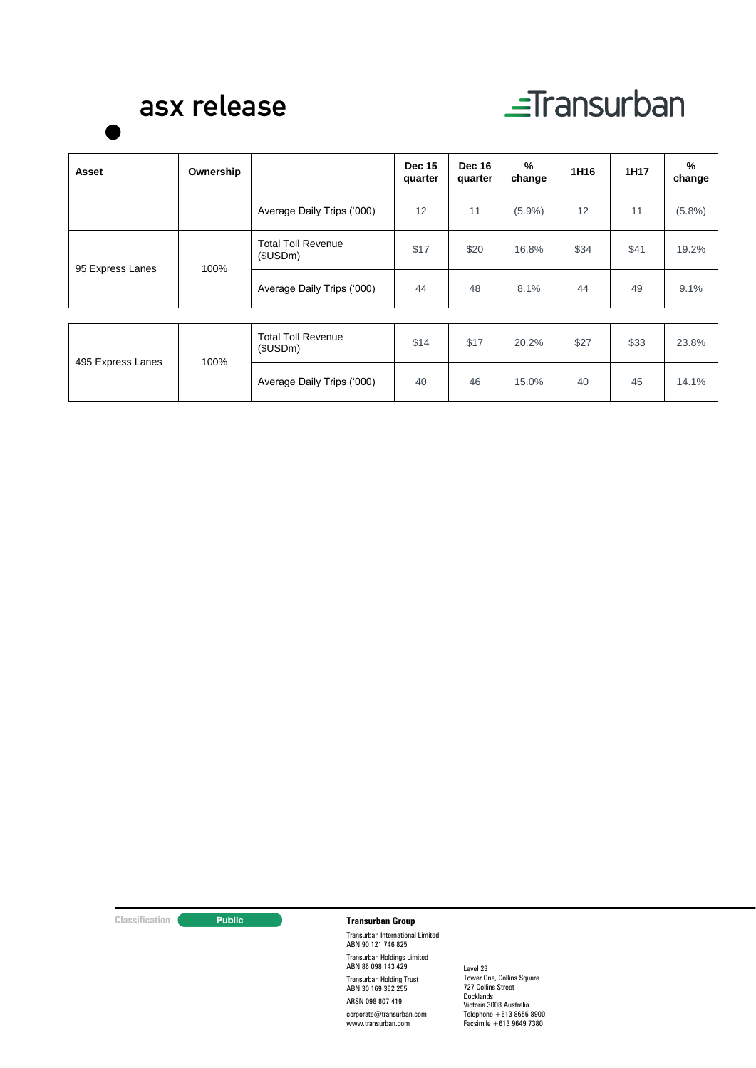# $\equiv$ Transurban

| Asset                    | Ownership                             |                                       | <b>Dec 15</b><br>quarter | <b>Dec 16</b><br>quarter | %<br>change | 1H16 | 1H17  | %<br>change |
|--------------------------|---------------------------------------|---------------------------------------|--------------------------|--------------------------|-------------|------|-------|-------------|
|                          |                                       | Average Daily Trips ('000)            | 12                       | 11                       | $(5.9\%)$   | 12   | 11    | $(5.8\%)$   |
| 100%<br>95 Express Lanes | <b>Total Toll Revenue</b><br>(\$USDm) | \$17                                  | \$20                     | 16.8%                    | \$34        | \$41 | 19.2% |             |
|                          |                                       | Average Daily Trips ('000)            | 44                       | 48                       | 8.1%        | 44   | 49    | 9.1%        |
|                          |                                       |                                       |                          |                          |             |      |       |             |
| 495 Express Lanes        | 100%                                  | <b>Total Toll Revenue</b><br>(\$USDm) | \$14                     | \$17                     | 20.2%       | \$27 | \$33  | 23.8%       |
|                          |                                       | Average Daily Trips ('000)            | 40                       | 46                       | 15.0%       | 40   | 45    | 14.1%       |

#### **Classification Transurban Group**

Transurban International Limited ABN 90 121 746 825 Transurban Holdings Limited ABN 86 098 143 429 Transurban Holding Trust ABN 30 169 362 255 ARSN 098 807 419

corporate@transurban.com www.transurban.com